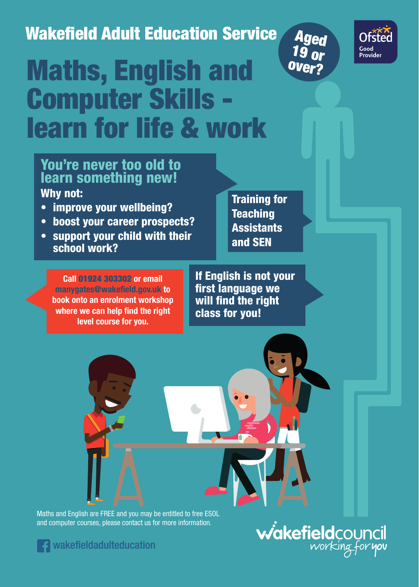## Wakefield Adult Education Service





# Maths, English and Computer Skills learn for life & work

### You're never too old to learn something new! Why not:

- improve your wellbeing?
- boost your career prospects?
- support your child with their school work?

**Call** 01924 303302 **or email manygates@wakefield.gov.uk to book onto an enrolment workshop where we can help find the right level course for you.**

Training for **Teaching Assistants** and SEN

If English is not your first language we will find the right class for you!

Maths and English are FREE and you may be entitled to free ESOL and computer courses, please contact us for more information.



wakefieldadulteducation